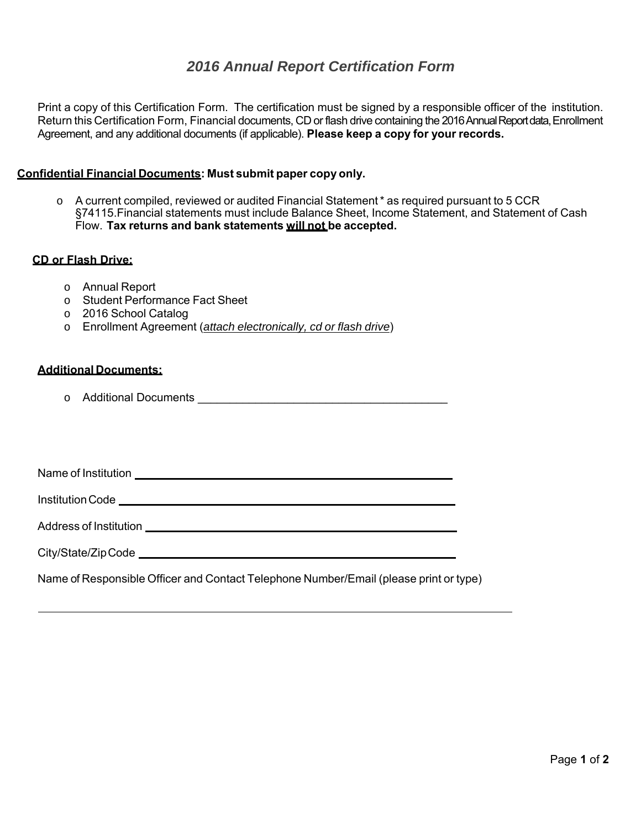Return this Certification Form, Financial documents, CD or flash drive containing the 2016 Annual Report data, Enrollment Agreement, and any additional documents (if applicable). **Please keep a copy for your records. 2016 Annual Report Certification Form**<br>
In Form. The certification must be signed by a respone<br>
Financial documents, CD or flash drive containing the 201<br>
documents (if applicable). **Please keep a copy for your**<br> **115:** M Print a copy of this Certification Form. The certification must be signed by a responsible officer of the institution.

## Agreement, and any additional documents (if applicable). **Please kee**<br>Confidential Financial Documents: Must submit paper copy only.

 $\circ$  A current compiled, reviewed or audited Financial Statement  $*$  as required pursuant to 5 CCR §74115.Financial statements must include Balance Sheet, Income Statement, and Statement of Cash Flow. **Tax returns and bank statements will not be accepted.**

## **CD or Flash Drive:**

- o Annual Report
- o Student Performance Fact Sheet
- o 2016 School Catalog
- o Enrollment Agreement (*attach electronically, cd or flash drive*)

## **Additional Documents:**

Institution Code

o Additional Documents **Additional** Documents

Name of Institution \_

Address of Institution \_

City/State/Zip Code

Name of Responsible Officer and Contact Telephone Number/Email (please print or type)